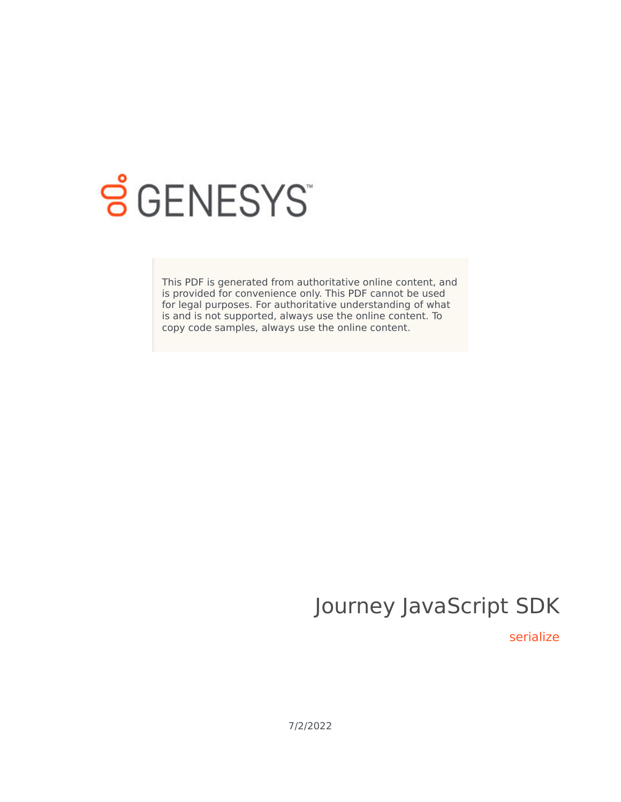

# **SGENESYS**

This PDF is generated from authoritative online content, and is provided for convenience only. This PDF cannot be used for legal purposes. For authoritative understanding of what is and is not supported, always use the online content. To copy code samples, always use the online content.

# Journey JavaScript SDK

serialize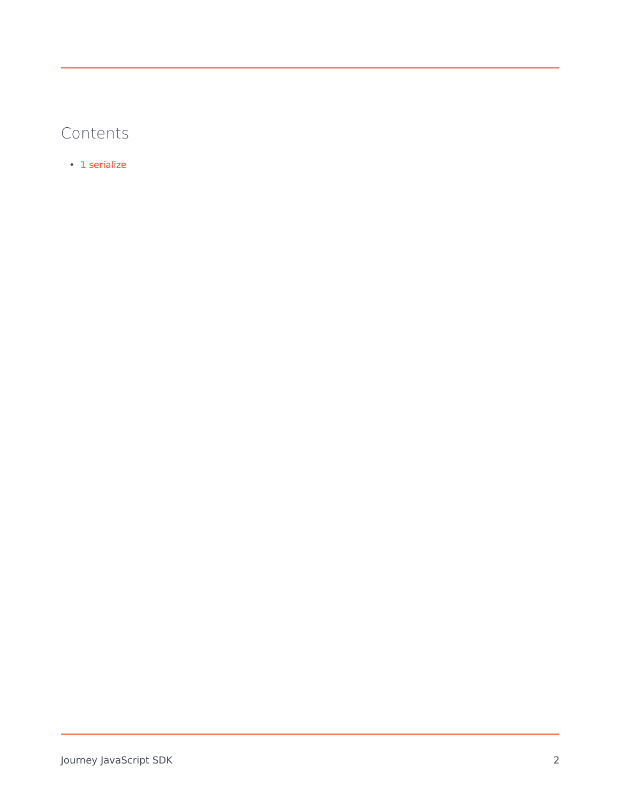## Contents

• 1 [serialize](#page-2-0)